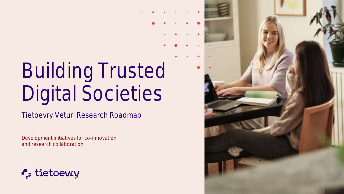# Building Trusted Digital Societies

Tietoevry Veturi Research Roadmap

Development initiatives for co-innovation and research collaboration



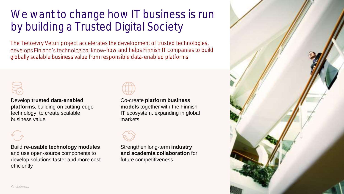### We want to change how IT business is run by building a Trusted Digital Society

The Tietoevry Veturi project accelerates the development of trusted technologies, develops Finland's technological know-how and helps Finnish IT companies to build globally scalable business value from responsible data-enabled platforms



Develop **trusted data-enabled platforms**, building on cutting-edge technology, to create scalable business value



Build **re-usable technology modules**  and use open-source components to develop solutions faster and more cost efficiently



Co-create **platform business models** together with the Finnish IT ecosystem, expanding in global markets



Strengthen long-term **industry and academia collaboration** for future competitiveness

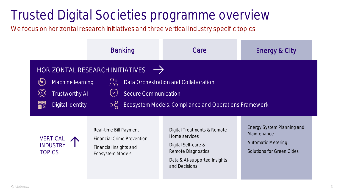### Trusted Digital Societies programme overview

We focus on horizontal research initiatives and three vertical industry specific topics

|                                                                                                                                                                                                                                                                                             | <b>Banking</b>                                                                                            | Care                                                                                                                                       | Energy & City                                                                                               |  |  |
|---------------------------------------------------------------------------------------------------------------------------------------------------------------------------------------------------------------------------------------------------------------------------------------------|-----------------------------------------------------------------------------------------------------------|--------------------------------------------------------------------------------------------------------------------------------------------|-------------------------------------------------------------------------------------------------------------|--|--|
| HORIZONTAL RESEARCH INITIATIVES<br>ိဂ္ဂ<br>Data Orchestration and Collaboration<br>Machine learning<br><u> पूरु</u><br><b>Secure Communication</b><br><b>Trustworthy AI</b><br>$\checkmark$<br>回回<br>回路<br>Ecosystem Models, Compliance and Operations Framework<br><b>Digital Identity</b> |                                                                                                           |                                                                                                                                            |                                                                                                             |  |  |
| <b>VERTICAL</b><br><b>INDUSTRY</b><br><b>TOPICS</b>                                                                                                                                                                                                                                         | Real-time Bill Payment<br><b>Financial Crime Prevention</b><br>Financial Insights and<br>Ecosystem Models | Digital Treatments & Remote<br>Home services<br>Digital Self-care &<br>Remote Diagnostics<br>Data & Al-supported Insights<br>and Decisions | Energy System Planning and<br>Maintenance<br><b>Automatic Metering</b><br><b>Solutions for Green Cities</b> |  |  |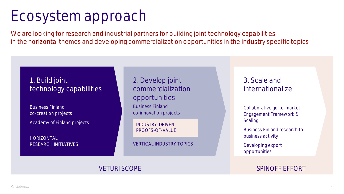### Ecosystem approach

We are looking for research and industrial partners for building joint technology capabilities in the horizontal themes and developing commercialization opportunities in the industry specific topics

#### 1. Build joint technology capabilities

Business Finland co-creation projects Academy of Finland projects

HORIZONTAL RESEARCH INITIATIVES 2. Develop joint commercialization opportunities Business Finland co-innovation projects

INDUSTRY-DRIVEN PROOFS-OF-VALUE

VERTICAL INDUSTRY TOPICS

#### 3. Scale and internationalize

Collaborative go-to-market Engagement Framework & **Scaling** 

Business Finland research to business activity

Developing export opportunities

#### VETURI SCOPE SPINOFF EFFORT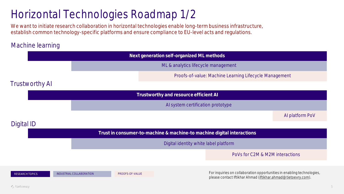### Horizontal Technologies Roadmap 1/2

We want to initiate research collaboration in horizontal technologies enable long-term business infrastructure, establish common technology-specific platforms and ensure compliance to EU-level acts and regulations.

#### Machine learning

|                                                                        |                          |                                     | Next generation self-organized ML methods              |                                                                                                                                         |                 |
|------------------------------------------------------------------------|--------------------------|-------------------------------------|--------------------------------------------------------|-----------------------------------------------------------------------------------------------------------------------------------------|-----------------|
|                                                                        |                          | ML & analytics lifecycle management |                                                        |                                                                                                                                         |                 |
|                                                                        |                          |                                     | Proofs-of-value: Machine Learning Lifecycle Management |                                                                                                                                         |                 |
| <b>Trustworthy AI</b>                                                  |                          |                                     |                                                        |                                                                                                                                         |                 |
| Trustworthy and resource efficient AI                                  |                          |                                     |                                                        |                                                                                                                                         |                 |
|                                                                        |                          | Al system certification prototype   |                                                        |                                                                                                                                         |                 |
|                                                                        |                          |                                     |                                                        |                                                                                                                                         | Al platform PoV |
| Digital ID                                                             |                          |                                     |                                                        |                                                                                                                                         |                 |
| Trust in consumer-to-machine & machine-to machine digital interactions |                          |                                     |                                                        |                                                                                                                                         |                 |
| Digital identity white label platform                                  |                          |                                     |                                                        |                                                                                                                                         |                 |
|                                                                        |                          |                                     |                                                        | PoVs for C2M & M2M interactions                                                                                                         |                 |
|                                                                        |                          |                                     |                                                        |                                                                                                                                         |                 |
| <b>RESEARCH TOPICS</b>                                                 | INDUSTRIAL COLLABORATION | PROOFS-OF-VALUE                     |                                                        | For inquiries on collaboration opportunities in enabling technologies,<br>please contact Iftikhar Ahmad (iftikhar.ahmad@tietoevry.com). |                 |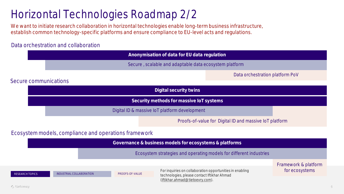### Horizontal Technologies Roadmap 2/2

We want to initiate research collaboration in horizontal technologies enable long-term business infrastructure, establish common technology-specific platforms and ensure compliance to EU-level acts and regulations.

#### Data orchestration and collaboration

|                                                        |                                                       |                 | Anonymisation of data for EU data regulation                                                            |                                 |                                        |  |
|--------------------------------------------------------|-------------------------------------------------------|-----------------|---------------------------------------------------------------------------------------------------------|---------------------------------|----------------------------------------|--|
| Secure, scalable and adaptable data ecosystem platform |                                                       |                 |                                                                                                         |                                 |                                        |  |
|                                                        |                                                       |                 |                                                                                                         | Data orchestration platform PoV |                                        |  |
| Secure communications                                  |                                                       |                 |                                                                                                         |                                 |                                        |  |
|                                                        |                                                       |                 | Digital security twins                                                                                  |                                 |                                        |  |
| Security methods for massive IoT systems               |                                                       |                 |                                                                                                         |                                 |                                        |  |
|                                                        | Digital ID & massive IoT platform development         |                 |                                                                                                         |                                 |                                        |  |
|                                                        |                                                       |                 | Proofs-of-value for Digital ID and massive IoT platform                                                 |                                 |                                        |  |
|                                                        | Ecosystem models, compliance and operations framework |                 |                                                                                                         |                                 |                                        |  |
|                                                        |                                                       |                 | Governance & business models for ecosystems & platforms                                                 |                                 |                                        |  |
|                                                        |                                                       |                 | Ecosystem strategies and operating models for different industries                                      |                                 |                                        |  |
| <b>RESEARCH TOPICS</b>                                 | INDUSTRIAL COLLABORATION                              | PROOFS-OF-VALUE | For inquiries on collaboration opportunities in enabling<br>technologies, please contact Iftikhar Ahmad |                                 | Framework & platform<br>for ecosystems |  |

[\(iftikhar.ahmad@tietoevry.com\)](mailto:iftikhar.ahmad@tietoevry.com).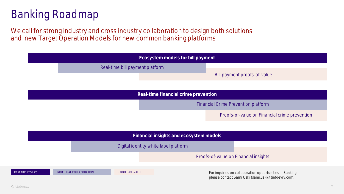### Banking Roadmap

We call for strong industry and cross industry collaboration to design both solutions and new Target Operation Models for new common banking platforms

|                 | Ecosystem models for bill payment       |                                       |  |                                                                                                                 |  |
|-----------------|-----------------------------------------|---------------------------------------|--|-----------------------------------------------------------------------------------------------------------------|--|
|                 |                                         | Real-time bill payment platform       |  |                                                                                                                 |  |
|                 |                                         |                                       |  | Bill payment proofs-of-value                                                                                    |  |
|                 |                                         |                                       |  |                                                                                                                 |  |
|                 | Real-time financial crime prevention    |                                       |  |                                                                                                                 |  |
|                 | Financial Crime Prevention platform     |                                       |  |                                                                                                                 |  |
|                 |                                         |                                       |  | Proofs-of-value on Financial crime prevention                                                                   |  |
|                 |                                         |                                       |  |                                                                                                                 |  |
|                 | Financial insights and ecosystem models |                                       |  |                                                                                                                 |  |
|                 |                                         | Digital identity white label platform |  |                                                                                                                 |  |
|                 |                                         |                                       |  | Proofs-of-value on Financial insights                                                                           |  |
| RESEARCH TOPICS | INDUSTRIAL COLLABORATION                | PROOFS-OF-VALUE                       |  | For inquiries on collaboration opportunities in Banking,<br>please contact Sami Uski (sami.uski@tietoevry.com). |  |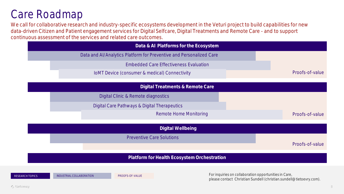#### Care Roadmap

We call for collaborative research and industry-specific ecosystems development in the Veturi project to build capabilities for new data-driven Citizen and Patient engagement services for Digital Selfcare, Digital Treatments and Remote Care - and to support continuous assessment of the services and related care outcomes.

|                   | Data & AI Platforms for the Ecosystem                               |                 |  |  |
|-------------------|---------------------------------------------------------------------|-----------------|--|--|
|                   | Data and Al/Analytics Platform for Preventive and Personalized Care |                 |  |  |
|                   | <b>Embedded Care Effectiveness Evaluation</b>                       |                 |  |  |
|                   | IoMT Device (consumer & medical) Connectivity                       | Proofs-of-value |  |  |
|                   | Digital Treatments & Remote Care                                    |                 |  |  |
|                   | Digital Clinic & Remote diagnostics                                 |                 |  |  |
|                   | Digital Care Pathways & Digital Therapeutics                        |                 |  |  |
|                   | <b>Remote Home Monitoring</b>                                       | Proofs-of-value |  |  |
| Digital Wellbeing |                                                                     |                 |  |  |
|                   | <b>Preventive Care Solutions</b>                                    |                 |  |  |
|                   |                                                                     | Proofs-of-value |  |  |
|                   | Platform for Health Ecosystem Orchestration                         |                 |  |  |
|                   |                                                                     |                 |  |  |

RESEARCH TOPICS INDUSTRIAL COLLABORATION PROOFS-OF-VALUE PROOFS-OF-VALUE For inquiries on collaboration opportunities in Care, please contact Christian Sundell (christian.sundell@tietoevry.com).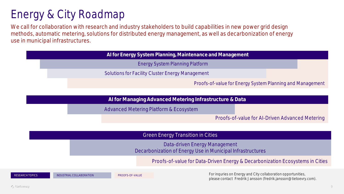### Energy & City Roadmap

We call for collaboration with research and industry stakeholders to build capabilities in new power grid design methods, automatic metering, solutions for distributed energy management, as well as decarbonization of energy use in municipal infrastructures.

|  | Al for Energy System Planning, Maintenance and Management |  |
|--|-----------------------------------------------------------|--|
|  | Energy System Planning Platform                           |  |
|  | Solutions for Facility Cluster Energy Management          |  |
|  | Proofs-of-value for Energy System Planning and Management |  |

**AI for Managing Advanced Metering Infrastructure & Data**

Advanced Metering Platform & Ecosystem

Proofs-of-value for AI-Driven Advanced Metering

Green Energy Transition in Cities

Data-driven Energy Management Decarbonization of Energy Use in Municipal Infrastructures

Proofs-of-value for Data-Driven Energy & Decarbonization Ecosystems in Cities

RESEARCH TOPICS INDUSTRIAL COLLABORATION PROOFS-OF-VALUE PROOFS-OF-VALUE FOR INCLUSION PROOFS-OF-VALUE FOR INCLUSION PROOFS-OF-VALUE please contact Fredrik Jansson (fredrik.jansson@tietoevry.com).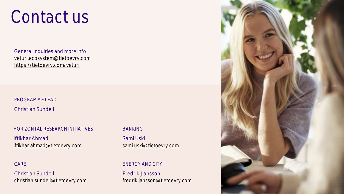## Contact us

General inquiries and more info: [veturi.ecosystem@tietoevry.com](mailto:veturi.ecosystem@tietoevry.com) <https://tietoevry.com/veturi>

PROGRAMME LEAD

Christian Sundell

#### HORIZONTAL RESEARCH INITIATIVES

Iftikhar Ahmad [iftikhar.ahmad@tietoevry.com](mailto:iftikhar.ahmad@tietoevry.com)

CARE

Christian Sundell [christian.sundell@tietoevry.com](mailto:ilona.raitakari@tietoevry.com)

#### BANKING

Sami Uski [sami.uski@tietoevry.com](mailto:sami.uski@tietoevry.com)

#### ENERGY AND CITY

Fredrik Jansson [fredrik.jansson@tietoevry.com](mailto:fredrik.jansson@tietoevry.com)